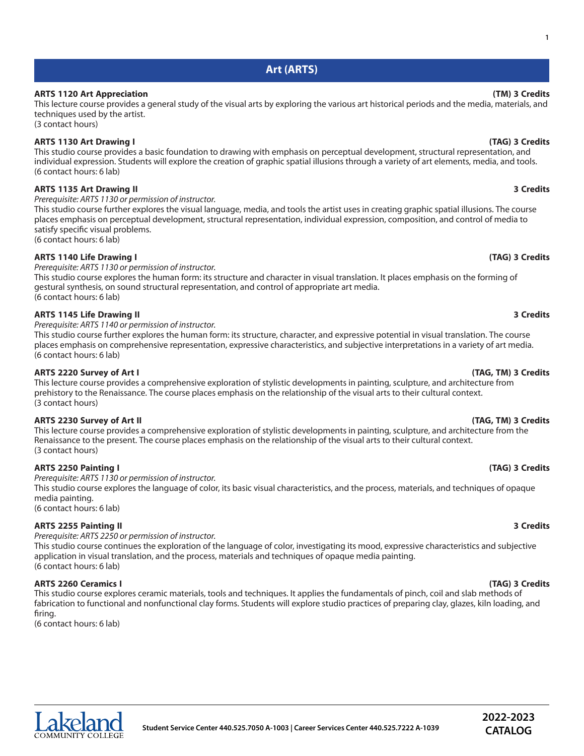**1**

# **Art (ARTS)**

# **ARTS 1120 Art Appreciation (TM) 3 Credits**

This lecture course provides a general study of the visual arts by exploring the various art historical periods and the media, materials, and techniques used by the artist.

(3 contact hours)

## **ARTS 1130 Art Drawing I (TAG) 3 Credits**

This studio course provides a basic foundation to drawing with emphasis on perceptual development, structural representation, and individual expression. Students will explore the creation of graphic spatial illusions through a variety of art elements, media, and tools. (6 contact hours: 6 lab)

# **ARTS 1135 Art Drawing II 3 Credits**

*Prerequisite: ARTS 1130 or permission of instructor.*

This studio course further explores the visual language, media, and tools the artist uses in creating graphic spatial illusions. The course places emphasis on perceptual development, structural representation, individual expression, composition, and control of media to satisfy specific visual problems. (6 contact hours: 6 lab)

# **ARTS 1140 Life Drawing I (TAG) 3 Credits**

*Prerequisite: ARTS 1130 or permission of instructor.*

This studio course explores the human form: its structure and character in visual translation. It places emphasis on the forming of gestural synthesis, on sound structural representation, and control of appropriate art media. (6 contact hours: 6 lab)

## **ARTS 1145 Life Drawing II 3 Credits**

*Prerequisite: ARTS 1140 or permission of instructor.*

This studio course further explores the human form: its structure, character, and expressive potential in visual translation. The course places emphasis on comprehensive representation, expressive characteristics, and subjective interpretations in a variety of art media. (6 contact hours: 6 lab)

### **ARTS 2220 Survey of Art I (TAG, TM) 3 Credits**

This lecture course provides a comprehensive exploration of stylistic developments in painting, sculpture, and architecture from prehistory to the Renaissance. The course places emphasis on the relationship of the visual arts to their cultural context. (3 contact hours)

### **ARTS 2230 Survey of Art II (TAG, TM) 3 Credits**

This lecture course provides a comprehensive exploration of stylistic developments in painting, sculpture, and architecture from the Renaissance to the present. The course places emphasis on the relationship of the visual arts to their cultural context. (3 contact hours)

# **ARTS 2250 Painting I (TAG) 3 Credits**

*Prerequisite: ARTS 1130 or permission of instructor.* This studio course explores the language of color, its basic visual characteristics, and the process, materials, and techniques of opaque media painting.

(6 contact hours: 6 lab)

### **ARTS 2255 Painting II 3 Credits**

*Prerequisite: ARTS 2250 or permission of instructor.*

This studio course continues the exploration of the language of color, investigating its mood, expressive characteristics and subjective application in visual translation, and the process, materials and techniques of opaque media painting. (6 contact hours: 6 lab)

### **ARTS 2260 Ceramics I (TAG) 3 Credits**

This studio course explores ceramic materials, tools and techniques. It applies the fundamentals of pinch, coil and slab methods of fabrication to functional and nonfunctional clay forms. Students will explore studio practices of preparing clay, glazes, kiln loading, and firing.

(6 contact hours: 6 lab)